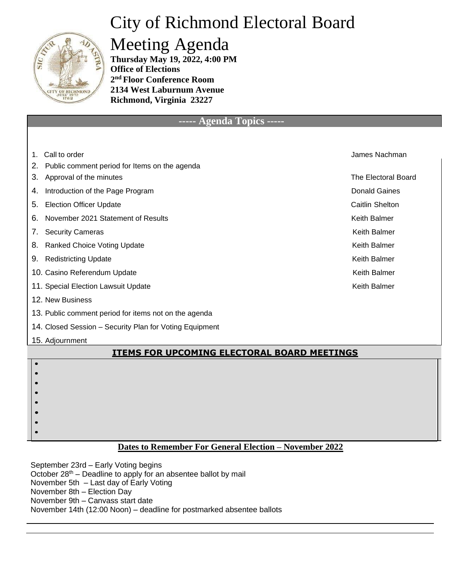## City of Richmond Electoral Board



### Meeting Agenda

**Thursday May 19, 2022, 4:00 PM Office of Elections 2 nd Floor Conference Room 2134 West Laburnum Avenue Richmond, Virginia 23227**

#### **----- Agenda Topics -----**

| 1.                                                 | Call to order                                           | James Nachman              |  |  |
|----------------------------------------------------|---------------------------------------------------------|----------------------------|--|--|
| 2.                                                 | Public comment period for Items on the agenda           |                            |  |  |
| 3.                                                 | Approval of the minutes                                 | <b>The Electoral Board</b> |  |  |
| 4.                                                 | Introduction of the Page Program                        | <b>Donald Gaines</b>       |  |  |
| 5.                                                 | <b>Election Officer Update</b>                          | <b>Caitlin Shelton</b>     |  |  |
| 6.                                                 | November 2021 Statement of Results                      | <b>Keith Balmer</b>        |  |  |
| 7.                                                 | <b>Security Cameras</b>                                 | <b>Keith Balmer</b>        |  |  |
| 8.                                                 | <b>Ranked Choice Voting Update</b>                      | <b>Keith Balmer</b>        |  |  |
| 9.                                                 | <b>Redistricting Update</b>                             | <b>Keith Balmer</b>        |  |  |
|                                                    | 10. Casino Referendum Update                            | <b>Keith Balmer</b>        |  |  |
|                                                    | 11. Special Election Lawsuit Update                     | <b>Keith Balmer</b>        |  |  |
|                                                    | 12. New Business                                        |                            |  |  |
|                                                    | 13. Public comment period for items not on the agenda   |                            |  |  |
|                                                    | 14. Closed Session – Security Plan for Voting Equipment |                            |  |  |
|                                                    | 15. Adjournment                                         |                            |  |  |
| <b>ITEMS FOR UPCOMING ELECTORAL BOARD MEETINGS</b> |                                                         |                            |  |  |
|                                                    |                                                         |                            |  |  |
|                                                    |                                                         |                            |  |  |
|                                                    |                                                         |                            |  |  |

#### **Dates to Remember For General Election – November 2022**

September 23rd – Early Voting begins October  $28<sup>th</sup>$  – Deadline to apply for an absentee ballot by mail November 5th – Last day of Early Voting November 8th – Election Day November 9th – Canvass start date November 14th (12:00 Noon) – deadline for postmarked absentee ballots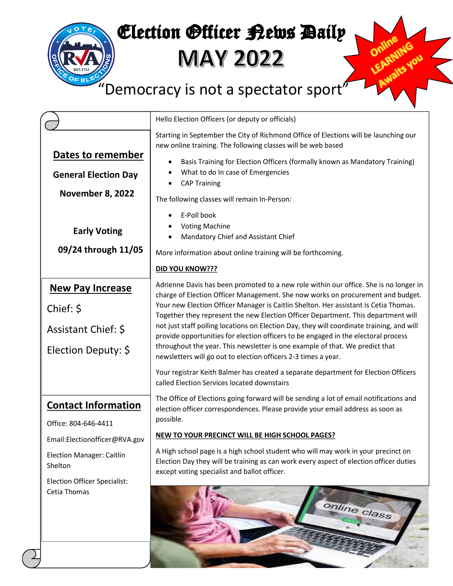# Election Officer Rews Daily

**MAY 2022** 

## "Democracy is not a spectator sport"

|                                      | Hello Election Officers (or deputy or officials)                                                                                                                                                                                                                                                                                  |  |  |  |  |
|--------------------------------------|-----------------------------------------------------------------------------------------------------------------------------------------------------------------------------------------------------------------------------------------------------------------------------------------------------------------------------------|--|--|--|--|
|                                      | Starting in September the City of Richmond Office of Elections will be launching our<br>new online training. The following classes will be web based                                                                                                                                                                              |  |  |  |  |
| Dates to remember                    | Basis Training for Election Officers (formally known as Mandatory Training)<br>٠                                                                                                                                                                                                                                                  |  |  |  |  |
| <b>General Election Day</b>          | What to do In case of Emergencies                                                                                                                                                                                                                                                                                                 |  |  |  |  |
| November 8, 2022                     | <b>CAP Training</b>                                                                                                                                                                                                                                                                                                               |  |  |  |  |
|                                      | The following classes will remain In-Person:                                                                                                                                                                                                                                                                                      |  |  |  |  |
|                                      | E-Poll book<br><b>Voting Machine</b>                                                                                                                                                                                                                                                                                              |  |  |  |  |
| <b>Early Voting</b>                  | Mandatory Chief and Assistant Chief                                                                                                                                                                                                                                                                                               |  |  |  |  |
| 09/24 through 11/05                  | More information about online training will be forthcoming.                                                                                                                                                                                                                                                                       |  |  |  |  |
|                                      | DID YOU KNOW???                                                                                                                                                                                                                                                                                                                   |  |  |  |  |
| <b>New Pay Increase</b>              | Adrienne Davis has been promoted to a new role within our office. She is no longer in                                                                                                                                                                                                                                             |  |  |  |  |
| Chief: \$                            | charge of Election Officer Management. She now works on procurement and budget.<br>Your new Election Officer Manager is Caitlin Shelton. Her assistant is Cetia Thomas.                                                                                                                                                           |  |  |  |  |
|                                      | Together they represent the new Election Officer Department. This department will                                                                                                                                                                                                                                                 |  |  |  |  |
| Assistant Chief: \$                  | not just staff polling locations on Election Day, they will coordinate training, and will<br>provide opportunities for election officers to be engaged in the electoral process<br>throughout the year. This newsletter is one example of that. We predict that<br>newsletters will go out to election officers 2-3 times a year. |  |  |  |  |
| Election Deputy: \$                  |                                                                                                                                                                                                                                                                                                                                   |  |  |  |  |
|                                      | Your registrar Keith Balmer has created a separate department for Election Officers                                                                                                                                                                                                                                               |  |  |  |  |
|                                      | called Election Services located downstairs                                                                                                                                                                                                                                                                                       |  |  |  |  |
| <b>Contact Information</b>           | The Office of Elections going forward will be sending a lot of email notifications and<br>election officer correspondences. Please provide your email address as soon as                                                                                                                                                          |  |  |  |  |
| Office: 804-646-4411                 | possible.                                                                                                                                                                                                                                                                                                                         |  |  |  |  |
| Email:Electionofficer@RVA.gov        | NEW TO YOUR PRECINCT WILL BE HIGH SCHOOL PAGES?                                                                                                                                                                                                                                                                                   |  |  |  |  |
| Election Manager: Caitlin<br>Shelton | A High school page is a high school student who will may work in your precinct on<br>Election Day they will be training as can work every aspect of election officer duties<br>except voting specialist and ballot officer.                                                                                                       |  |  |  |  |
| <b>Election Officer Specialist:</b>  |                                                                                                                                                                                                                                                                                                                                   |  |  |  |  |
| Cetia Thomas                         | online class                                                                                                                                                                                                                                                                                                                      |  |  |  |  |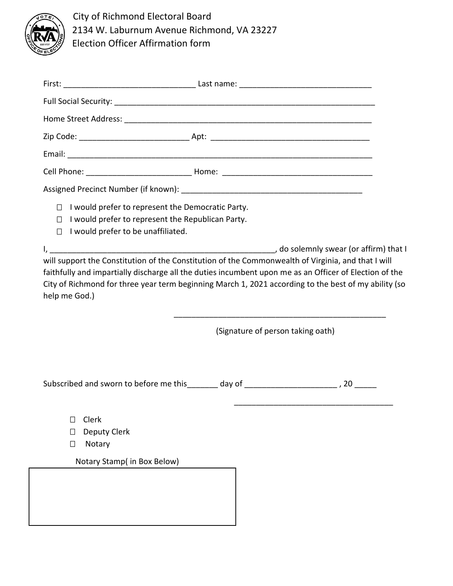

City of Richmond Electoral Board 2134 W. Laburnum Avenue Richmond, VA 23227 Election Officer Affirmation form

| I would prefer to represent the Democratic Party.<br>$\Box$<br>I would prefer to represent the Republican Party.<br>$\Box$<br>I would prefer to be unaffiliated.<br>П.                                                                                                                                                                |                                   |  |  |  |  |
|---------------------------------------------------------------------------------------------------------------------------------------------------------------------------------------------------------------------------------------------------------------------------------------------------------------------------------------|-----------------------------------|--|--|--|--|
| will support the Constitution of the Constitution of the Commonwealth of Virginia, and that I will<br>faithfully and impartially discharge all the duties incumbent upon me as an Officer of Election of the<br>City of Richmond for three year term beginning March 1, 2021 according to the best of my ability (so<br>help me God.) |                                   |  |  |  |  |
|                                                                                                                                                                                                                                                                                                                                       | (Signature of person taking oath) |  |  |  |  |
| Subscribed and sworn to before me this ______ day of _________________________, 20 _____                                                                                                                                                                                                                                              |                                   |  |  |  |  |
| Clerk<br>П<br>Deputy Clerk<br>$\Box$<br>Notary<br>□                                                                                                                                                                                                                                                                                   |                                   |  |  |  |  |
| Notary Stamp( in Box Below)                                                                                                                                                                                                                                                                                                           |                                   |  |  |  |  |
|                                                                                                                                                                                                                                                                                                                                       |                                   |  |  |  |  |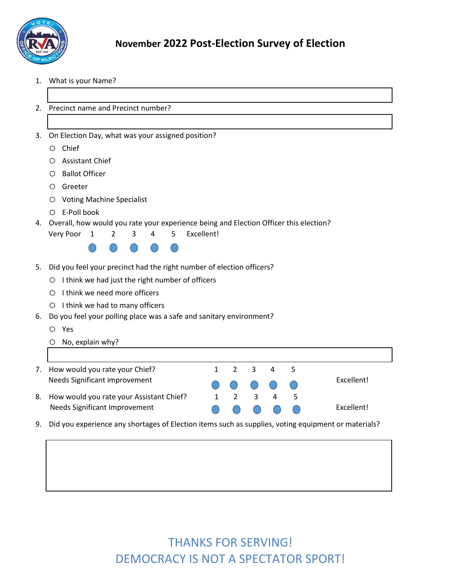

- 1. What is your Name?
- 2. Precinct name and Precinct number?
- 3. On Election Day, what was your assigned position?
	- o Chief
	- o Assistant Chief
	- o Ballot Officer
	- o Greeter
	- o Voting Machine Specialist
	- o E-Poll book

#### 4. Overall, how would you rate your experience being and Election Officer this election?

| 5 Excellent!<br>Very Poor 1 |  |  |  |  |  |  |
|-----------------------------|--|--|--|--|--|--|
|-----------------------------|--|--|--|--|--|--|



- 5. Did you feel your precinct had the right number of election officers?
	- o I think we had just the right number of officers
	- o I think we need more officers
	- o I think we had to many officers
- 6. Do you feel your polling place was a safe and sanitary environment?
	- o Yes
	- o No, explain why?
- 7. How would you rate your Chief? 1 2 3 4 5
- 8. How would you rate your Assistant Chief? 1 2 3 4 5
- Needs Significant improvement and a set of the C C C C Excellent! Needs Significant Improvement **A A A A A Excellent!**
- 9. Did you experience any shortages of Election items such as supplies, voting equipment or materials?

### THANKS FOR SERVING! DEMOCRACY IS NOT A SPECTATOR SPORT!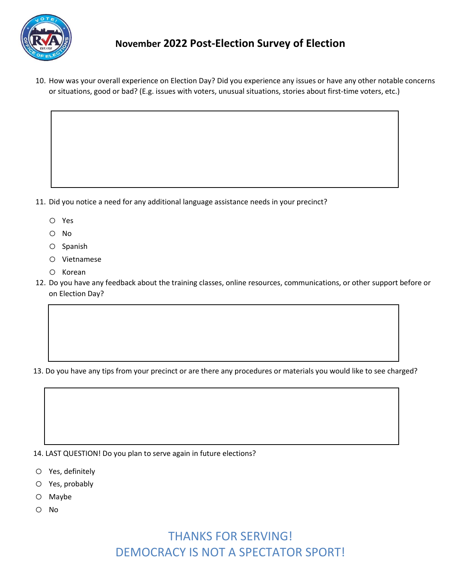

#### **November 2022 Post-Election Survey of Election**

10. How was your overall experience on Election Day? Did you experience any issues or have any other notable concerns or situations, good or bad? (E.g. issues with voters, unusual situations, stories about first-time voters, etc.)

- 11. Did you notice a need for any additional language assistance needs in your precinct?
	- o Yes
	- o No
	- o Spanish
	- o Vietnamese
	- o Korean
- 12. Do you have any feedback about the training classes, online resources, communications, or other support before or on Election Day?

13. Do you have any tips from your precinct or are there any procedures or materials you would like to see charged?

14. LAST QUESTION! Do you plan to serve again in future elections?

- o Yes, definitely
- o Yes, probably
- o Maybe
- o No

### THANKS FOR SERVING! DEMOCRACY IS NOT A SPECTATOR SPORT!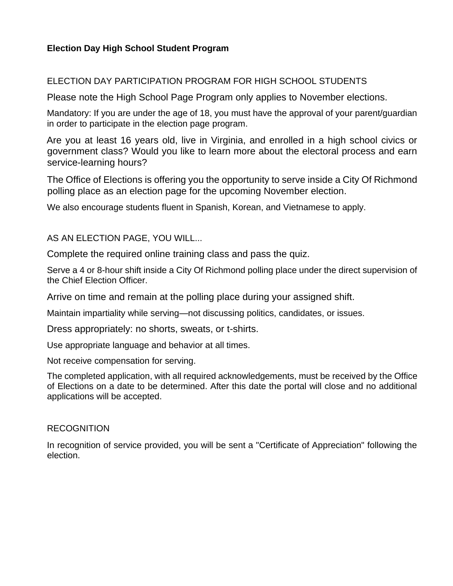#### **Election Day High School Student Program**

#### ELECTION DAY PARTICIPATION PROGRAM FOR HIGH SCHOOL STUDENTS

Please note the High School Page Program only applies to November elections.

Mandatory: If you are under the age of 18, you must have the approval of your parent/guardian in order to participate in the election page program.

Are you at least 16 years old, live in Virginia, and enrolled in a high school civics or government class? Would you like to learn more about the electoral process and earn service-learning hours?

The Office of Elections is offering you the opportunity to serve inside a City Of Richmond polling place as an election page for the upcoming November election.

We also encourage students fluent in Spanish, Korean, and Vietnamese to apply.

AS AN ELECTION PAGE, YOU WILL...

Complete the required online training class and pass the quiz.

Serve a 4 or 8-hour shift inside a City Of Richmond polling place under the direct supervision of the Chief Election Officer.

Arrive on time and remain at the polling place during your assigned shift.

Maintain impartiality while serving—not discussing politics, candidates, or issues.

Dress appropriately: no shorts, sweats, or t-shirts.

Use appropriate language and behavior at all times.

Not receive compensation for serving.

The completed application, with all required acknowledgements, must be received by the Office of Elections on a date to be determined. After this date the portal will close and no additional applications will be accepted.

#### **RECOGNITION**

In recognition of service provided, you will be sent a "Certificate of Appreciation" following the election.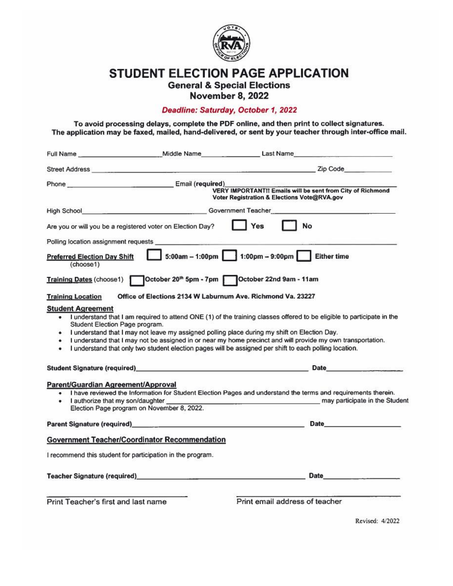

**STUDENT ELECTION PAGE APPLICATION** 

**General & Special Elections** 

**November 8, 2022** 

#### Deadline: Saturday, October 1, 2022

To avoid processing delays, complete the PDF online, and then print to collect signatures. The application may be faxed, mailed, hand-delivered, or sent by your teacher through inter-office mail.

|                                                  | Full Name ________________________________Middle Name                                                                                                                                                                          | Last Name                                                                                                                                                                                                                                                                                                                                                                                                                                           |
|--------------------------------------------------|--------------------------------------------------------------------------------------------------------------------------------------------------------------------------------------------------------------------------------|-----------------------------------------------------------------------------------------------------------------------------------------------------------------------------------------------------------------------------------------------------------------------------------------------------------------------------------------------------------------------------------------------------------------------------------------------------|
|                                                  | Street Address and the company of the company of the company of the company of the company of the company of the company of the company of the company of the company of the company of the company of the company of the comp | Zip Code <b>Example</b>                                                                                                                                                                                                                                                                                                                                                                                                                             |
|                                                  | Phone Email (required)                                                                                                                                                                                                         | VERY IMPORTANT!! Emails will be sent from City of Richmond<br>Voter Registration & Elections Vote@RVA.gov                                                                                                                                                                                                                                                                                                                                           |
|                                                  |                                                                                                                                                                                                                                | High School <b>Example 2018</b> Covernment Teacher <b>Contract Contract Contract Contract Contract Contract Contract Contract Contract Contract Contract Contract Contract Contract Contract Contract Contract Contract Contract Cont</b>                                                                                                                                                                                                           |
|                                                  | Are you or will you be a registered voter on Election Day?                                                                                                                                                                     | Yes<br>No                                                                                                                                                                                                                                                                                                                                                                                                                                           |
|                                                  |                                                                                                                                                                                                                                |                                                                                                                                                                                                                                                                                                                                                                                                                                                     |
| <b>Preferred Election Day Shift</b><br>(choose1) |                                                                                                                                                                                                                                |                                                                                                                                                                                                                                                                                                                                                                                                                                                     |
|                                                  | Training Dates (choose1)    Qctober 20 <sup>th</sup> 5pm - 7pm    Qctober 22nd 9am - 11am                                                                                                                                      |                                                                                                                                                                                                                                                                                                                                                                                                                                                     |
| <b>Training Location</b>                         | Office of Elections 2134 W Laburnum Ave. Richmond Va. 23227                                                                                                                                                                    |                                                                                                                                                                                                                                                                                                                                                                                                                                                     |
| Student Election Page program.<br>٠<br>٠         |                                                                                                                                                                                                                                | . I understand that I am required to attend ONE (1) of the training classes offered to be eligible to participate in the<br>• I understand that I may not leave my assigned polling place during my shift on Election Day.<br>I understand that I may not be assigned in or near my home precinct and will provide my own transportation.<br>I understand that only two student election pages will be assigned per shift to each polling location. |
|                                                  | Student Signature (required) and the control of the control of the control of the control of the control of the control of the control of the control of the control of the control of the control of the control of the contr | Date                                                                                                                                                                                                                                                                                                                                                                                                                                                |
| Parent/Guardian Agreement/Approval               | I authorize that my son/daughter<br>Election Page program on November 8, 2022.                                                                                                                                                 | . I have reviewed the Information for Student Election Pages and understand the terms and requirements therein.<br>may participate in the Student                                                                                                                                                                                                                                                                                                   |
|                                                  | Parent Signature (required) and the contract of the contract of the contract of the contract of the contract of                                                                                                                | <b>Date Date</b>                                                                                                                                                                                                                                                                                                                                                                                                                                    |
|                                                  | <b>Government Teacher/Coordinator Recommendation</b>                                                                                                                                                                           |                                                                                                                                                                                                                                                                                                                                                                                                                                                     |
|                                                  | I recommend this student for participation in the program.                                                                                                                                                                     |                                                                                                                                                                                                                                                                                                                                                                                                                                                     |
|                                                  |                                                                                                                                                                                                                                | Date                                                                                                                                                                                                                                                                                                                                                                                                                                                |
| Print Teacher's first and last name              |                                                                                                                                                                                                                                | Print email address of teacher                                                                                                                                                                                                                                                                                                                                                                                                                      |

Revised: 4/2022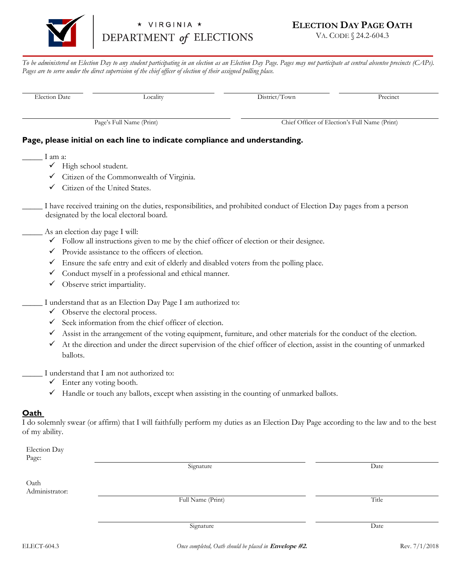

#### VIRGINIA \* DEPARTMENT of ELECTIONS

#### **ELECTION DAY PAGE OATH**

VA. CODE § 24.2-604.3

*To be administered on Election Day to any student participating in an election as an Election Day Page. Pages may not participate at central absentee precincts (CAPs).*  Pages are to serve under the direct supervision of the chief officer of election of their assigned polling place.

Election Date **Locality** District/Town **Precinct** 

Page's Full Name (Print) Chief Officer of Election's Full Name (Print)

#### **Page, please initial on each line to indicate compliance and understanding.**

\_\_\_\_\_ I am a:

- ✓ High school student.
- ✓ Citizen of the Commonwealth of Virginia.
- ✓ Citizen of the United States.

\_\_\_\_\_ I have received training on the duties, responsibilities, and prohibited conduct of Election Day pages from a person designated by the local electoral board.

#### As an election day page I will:

- $\checkmark$  Follow all instructions given to me by the chief officer of election or their designee.
- ✓ Provide assistance to the officers of election.
- ✓ Ensure the safe entry and exit of elderly and disabled voters from the polling place.
- Conduct myself in a professional and ethical manner.
- ✓ Observe strict impartiality.

I understand that as an Election Day Page I am authorized to:

- $\checkmark$  Observe the electoral process.
- ✓ Seek information from the chief officer of election.
- ✓ Assist in the arrangement of the voting equipment, furniture, and other materials for the conduct of the election.
- $\checkmark$  At the direction and under the direct supervision of the chief officer of election, assist in the counting of unmarked ballots.
- I understand that I am not authorized to:
	- $\checkmark$  Enter any voting booth.
	- ✓ Handle or touch any ballots, except when assisting in the counting of unmarked ballots.

#### **Oath**

I do solemnly swear (or affirm) that I will faithfully perform my duties as an Election Day Page according to the law and to the best of my ability.

| Election Day           |                                                       |       |               |
|------------------------|-------------------------------------------------------|-------|---------------|
| Page:                  |                                                       |       |               |
|                        | Signature                                             | Date  |               |
| Oath<br>Administrator: |                                                       |       |               |
|                        | Full Name (Print)                                     | Title |               |
|                        |                                                       | Date  |               |
|                        | Signature                                             |       |               |
| ELECT-604.3            | Once completed, Oath should be placed in Envelope #2. |       | Rev. 7/1/2018 |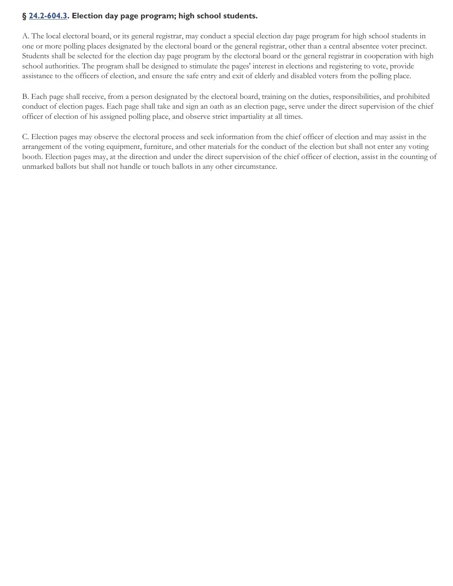#### **§ 24.2-604.3. Election day page program; high school students.**

[A. The local ele](http://law.lis.virginia.gov/vacode/24.2-604.3)ctoral board, or its general registrar, may conduct a special election day page program for high school students in one or more polling places designated by the electoral board or the general registrar, other than a central absentee voter precinct. Students shall be selected for the election day page program by the electoral board or the general registrar in cooperation with high school authorities. The program shall be designed to stimulate the pages' interest in elections and registering to vote, provide assistance to the officers of election, and ensure the safe entry and exit of elderly and disabled voters from the polling place.

B. Each page shall receive, from a person designated by the electoral board, training on the duties, responsibilities, and prohibited conduct of election pages. Each page shall take and sign an oath as an election page, serve under the direct supervision of the chief officer of election of his assigned polling place, and observe strict impartiality at all times.

C. Election pages may observe the electoral process and seek information from the chief officer of election and may assist in the arrangement of the voting equipment, furniture, and other materials for the conduct of the election but shall not enter any voting booth. Election pages may, at the direction and under the direct supervision of the chief officer of election, assist in the counting of unmarked ballots but shall not handle or touch ballots in any other circumstance.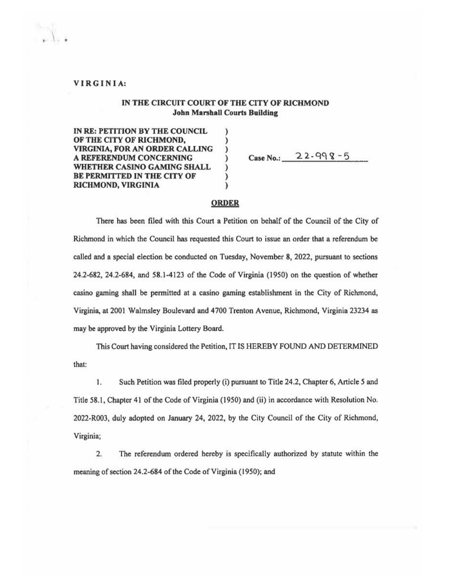#### VIRGINIA:

#### IN THE CIRCUIT COURT OF THE CITY OF RICHMOND **John Marshall Courts Building**

 $\lambda$ 

 $\lambda$ 

IN RE: PETITION BY THE COUNCIL OF THE CITY OF RICHMOND. VIRGINIA, FOR AN ORDER CALLING A REFERENDUM CONCERNING WHETHER CASINO GAMING SHALL BE PERMITTED IN THE CITY OF **RICHMOND, VIRGINIA** 

Case No.:  $22 - 998 - 5$ 

#### **ORDER**

There has been filed with this Court a Petition on behalf of the Council of the City of Richmond in which the Council has requested this Court to issue an order that a referendum be called and a special election be conducted on Tuesday, November 8, 2022, pursuant to sections 24.2-682, 24.2-684, and 58.1-4123 of the Code of Virginia (1950) on the question of whether casino gaming shall be permitted at a casino gaming establishment in the City of Richmond, Virginia, at 2001 Walmsley Boulevard and 4700 Trenton Avenue, Richmond, Virginia 23234 as may be approved by the Virginia Lottery Board.

This Court having considered the Petition, IT IS HEREBY FOUND AND DETERMINED that:

1. Such Petition was filed properly (i) pursuant to Title 24.2, Chapter 6, Article 5 and Title 58.1, Chapter 41 of the Code of Virginia (1950) and (ii) in accordance with Resolution No. 2022-R003, duly adopted on January 24, 2022, by the City Council of the City of Richmond, Virginia;

 $2.$ The referendum ordered hereby is specifically authorized by statute within the meaning of section 24.2-684 of the Code of Virginia (1950); and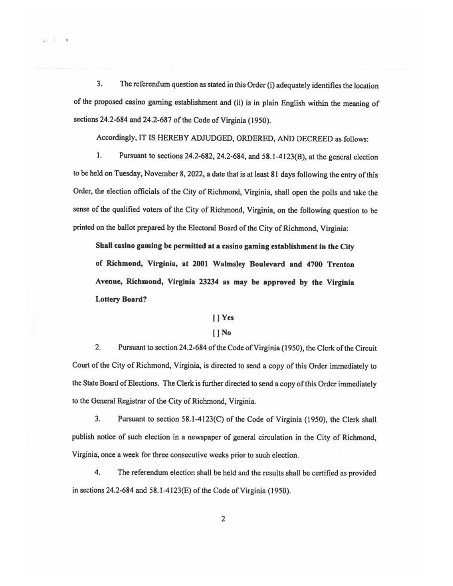$3.$ The referendum question as stated in this Order (i) adequately identifies the location of the proposed casino gaming establishment and (ii) is in plain English within the meaning of sections 24.2-684 and 24.2-687 of the Code of Virginia (1950).

 $\sim$  1  $\sim$ 

Accordingly, IT IS HEREBY ADJUDGED, ORDERED, AND DECREED as follows:

 $1.$ Pursuant to sections 24.2-682, 24.2-684, and 58.1-4123(B), at the general election to be held on Tuesday, November 8, 2022, a date that is at least 81 days following the entry of this Order, the election officials of the City of Richmond, Virginia, shall open the polls and take the sense of the qualified voters of the City of Richmond, Virginia, on the following question to be printed on the ballot prepared by the Electoral Board of the City of Richmond, Virginia:

Shall casino gaming be permitted at a casino gaming establishment in the City of Richmond, Virginia, at 2001 Walmsley Boulevard and 4700 Trenton Avenue, Richmond, Virginia 23234 as may be approved by the Virginia **Lottery Board?** 

#### [] Yes

#### $\prod$  No

 $2.$ Pursuant to section 24.2-684 of the Code of Virginia (1950), the Clerk of the Circuit Court of the City of Richmond, Virginia, is directed to send a copy of this Order immediately to the State Board of Elections. The Clerk is further directed to send a copy of this Order immediately to the General Registrar of the City of Richmond, Virginia.

3. Pursuant to section 58.1-4123(C) of the Code of Virginia (1950), the Clerk shall publish notice of such election in a newspaper of general circulation in the City of Richmond, Virginia, once a week for three consecutive weeks prior to such election.

4. The referendum election shall be held and the results shall be certified as provided in sections 24.2-684 and 58.1-4123(E) of the Code of Virginia (1950).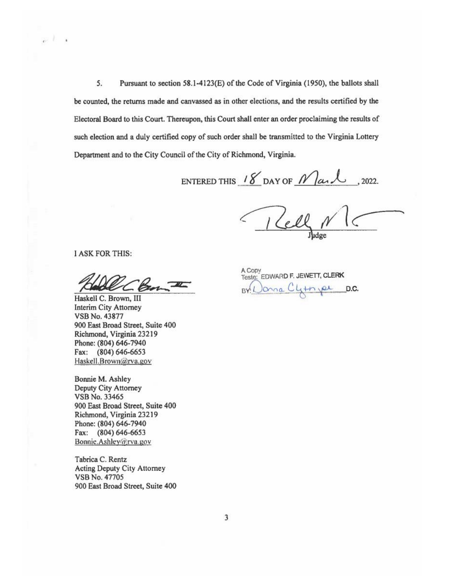5. Pursuant to section 58.1-4123(E) of the Code of Virginia (1950), the ballots shall be counted, the returns made and canvassed as in other elections, and the results certified by the Electoral Board to this Court. Thereupon, this Court shall enter an order proclaiming the results of such election and a duly certified copy of such order shall be transmitted to the Virginia Lottery Department and to the City Council of the City of Richmond, Virginia.

ENTERED THIS 18 DAY OF  $M$  and , 2022.

**I ASK FOR THIS:** 

 $e^{-\frac{1}{2}}$ 

Haskell C. Brown, III Interim City Attorney **VSB No. 43877** 900 East Broad Street, Suite 400 Richmond, Virginia 23219 Phone: (804) 646-7940 Fax: (804) 646-6653 Haskell.Brown@rva.gov

Bonnie M. Ashley Deputy City Attorney VSB No. 33465 900 East Broad Street, Suite 400 Richmond, Virginia 23219 Phone: (804) 646-7940 Fax: (804) 646-6653 Bonnie.Ashley@rva.gov

Tabrica C. Rentz Acting Deputy City Attorney VSB No. 47705 900 East Broad Street, Suite 400 A Copy<br>Teste: EDWARD F. JEWETT, CLERK BY Donna Climpe  $D.C.$